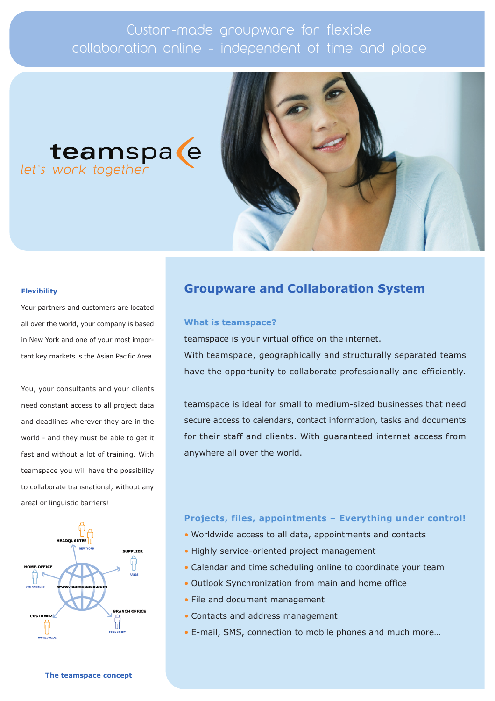# Custom-made groupware for flexible collaboration online - independent of time and place

# teamspa e let's work together



# **Flexibility**

Your partners and customers are located all over the world, your company is based in New York and one of your most important key markets is the Asian Pacific Area.

You, your consultants and your clients need constant access to all project data and deadlines wherever they are in the world - and they must be able to get it fast and without a lot of training. With teamspace you will have the possibility to collaborate transnational, without any areal or linguistic barriers!



# **Groupware and Collaboration System**

# **What is teamspace?**

teamspace is your virtual office on the internet.

With teamspace, geographically and structurally separated teams have the opportunity to collaborate professionally and efficiently.

teamspace is ideal for small to medium-sized businesses that need secure access to calendars, contact information, tasks and documents for their staff and clients. With guaranteed internet access from anywhere all over the world.

# **Projects, files, appointments Everything under control!**

- Worldwide access to all data, appointments and contacts
- Highly service-oriented project management
- Calendar and time scheduling online to coordinate your team
- Outlook Synchronization from main and home office
- File and document management
- Contacts and address management
- E-mail, SMS, connection to mobile phones and much more